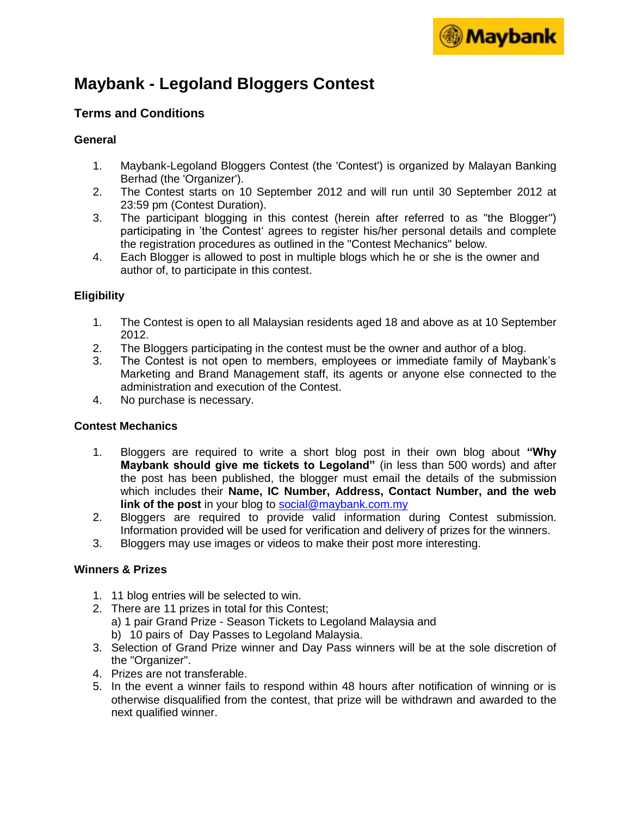

# **Maybank - Legoland Bloggers Contest**

# **Terms and Conditions**

## **General**

- 1. Maybank-Legoland Bloggers Contest (the 'Contest') is organized by Malayan Banking Berhad (the 'Organizer').
- 2. The Contest starts on 10 September 2012 and will run until 30 September 2012 at 23:59 pm (Contest Duration).
- 3. The participant blogging in this contest (herein after referred to as "the Blogger") participating in 'the Contest' agrees to register his/her personal details and complete the registration procedures as outlined in the "Contest Mechanics" below.
- 4. Each Blogger is allowed to post in multiple blogs which he or she is the owner and author of, to participate in this contest.

## **Eligibility**

- 1. The Contest is open to all Malaysian residents aged 18 and above as at 10 September 2012.
- 2. The Bloggers participating in the contest must be the owner and author of a blog.
- 3. The Contest is not open to members, employees or immediate family of Maybank's Marketing and Brand Management staff, its agents or anyone else connected to the administration and execution of the Contest.
- 4. No purchase is necessary.

#### **Contest Mechanics**

- 1. Bloggers are required to write a short blog post in their own blog about **"Why Maybank should give me tickets to Legoland"** (in less than 500 words) and after the post has been published, the blogger must email the details of the submission which includes their **Name, IC Number, Address, Contact Number, and the web link of the post** in your blog to [social@maybank.com.my](mailto:social@maybank.com.my)
- 2. Bloggers are required to provide valid information during Contest submission. Information provided will be used for verification and delivery of prizes for the winners.
- 3. Bloggers may use images or videos to make their post more interesting.

## **Winners & Prizes**

- 1. 11 blog entries will be selected to win.
- 2. There are 11 prizes in total for this Contest;
	- a) 1 pair Grand Prize Season Tickets to Legoland Malaysia and
	- b) 10 pairs of Day Passes to Legoland Malaysia.
- 3. Selection of Grand Prize winner and Day Pass winners will be at the sole discretion of the "Organizer".
- 4. Prizes are not transferable.
- 5. In the event a winner fails to respond within 48 hours after notification of winning or is otherwise disqualified from the contest, that prize will be withdrawn and awarded to the next qualified winner.